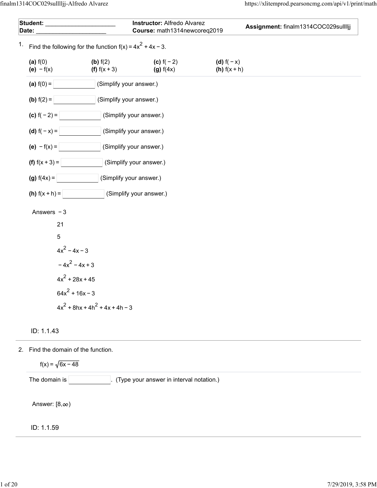| Student: ______________________<br>Date: |                                                              |                                                | Instructor: Alfredo Alvarez<br>Course: math1314newcoreq2019 |                             | Assignment: finalm1314COC029sulllljj |  |  |  |  |
|------------------------------------------|--------------------------------------------------------------|------------------------------------------------|-------------------------------------------------------------|-----------------------------|--------------------------------------|--|--|--|--|
| 1.                                       | Find the following for the function $f(x) = 4x^2 + 4x - 3$ . |                                                |                                                             |                             |                                      |  |  |  |  |
|                                          | (a) $f(0)$<br>(e) $-f(x)$                                    | (b) $f(2)$<br>(f) $f(x + 3)$                   | (c) $f(-2)$<br>(g) f(4x)                                    | (d) $f(-x)$<br>(h) $f(x+h)$ |                                      |  |  |  |  |
|                                          | (a) $f(0) =$                                                 | (Simplify your answer.)                        |                                                             |                             |                                      |  |  |  |  |
|                                          | ( <b>b</b> ) $f(2) =$                                        | (Simplify your answer.)                        |                                                             |                             |                                      |  |  |  |  |
|                                          | (c) $f(-2) =$<br>(Simplify your answer.)                     |                                                |                                                             |                             |                                      |  |  |  |  |
|                                          | ( <b>d</b> ) $f(-x) =$                                       | (Simplify your answer.)                        |                                                             |                             |                                      |  |  |  |  |
|                                          | (e) $-f(x) =$                                                | (Simplify your answer.)                        |                                                             |                             |                                      |  |  |  |  |
|                                          | (f) $f(x + 3) =$                                             |                                                | (Simplify your answer.)                                     |                             |                                      |  |  |  |  |
|                                          | (g) $f(4x) =$                                                | (Simplify your answer.)                        |                                                             |                             |                                      |  |  |  |  |
|                                          | ( <b>h</b> ) $f(x + h) =$                                    |                                                | (Simplify your answer.)                                     |                             |                                      |  |  |  |  |
|                                          | Answers $-3$                                                 |                                                |                                                             |                             |                                      |  |  |  |  |
|                                          | 21                                                           |                                                |                                                             |                             |                                      |  |  |  |  |
|                                          | $5\phantom{.0}$                                              |                                                |                                                             |                             |                                      |  |  |  |  |
|                                          | $4x^2 - 4x - 3$                                              |                                                |                                                             |                             |                                      |  |  |  |  |
|                                          |                                                              | $-4x^2 - 4x + 3$                               |                                                             |                             |                                      |  |  |  |  |
|                                          |                                                              | $4x^2 + 28x + 45$                              |                                                             |                             |                                      |  |  |  |  |
|                                          |                                                              | $64x^2 + 16x - 3$                              |                                                             |                             |                                      |  |  |  |  |
|                                          |                                                              | $4x^{2}$ + 8hx + 4h <sup>2</sup> + 4x + 4h - 3 |                                                             |                             |                                      |  |  |  |  |

ID: 1.1.43

2. Find the domain of the function.

 $f(x) = \sqrt{6x - 48}$ 

The domain is **we can be also constrained in the domain is example.** (Type your answer in interval notation.)

Answer:  $[8, \infty)$ 

ID: 1.1.59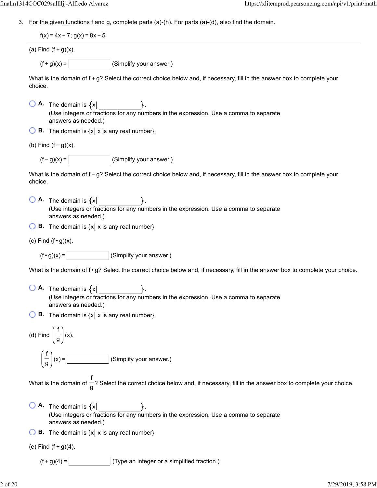3. For the given functions f and g, complete parts (a)-(h). For parts (a)-(d), also find the domain.

 $f(x) = 4x + 7$ ;  $g(x) = 8x - 5$ 

(a) Find  $(f+g)(x)$ .

 $(f + g)(x) =$  (Simplify your answer.)

What is the domain of  $f$  +  $g$ ? Select the correct choice below and, if necessary, fill in the answer box to complete your choice.

- $\bigcirc$  **A.** The domain is  $\{x\}$ (Use integers or fractions for any numbers in the expression. Use a comma to separate answers as needed.)
- $\bigcirc$  **B.** The domain is  $\{x \mid x \text{ is any real number}\}.$

(b) Find  $(f - g)(x)$ .

 $(f - g)(x) =$  (Simplify your answer.)

What is the domain of f − g? Select the correct choice below and, if necessary, fill in the answer box to complete your choice.

- $\bigcirc$  **A.** The domain is  $\{x\}$ (Use integers or fractions for any numbers in the expression. Use a comma to separate answers as needed.)
- $\bigcirc$  **B.** The domain is  $\{x \mid x \text{ is any real number}\}.$

(c) Find  $(f \cdot g)(x)$ .

 $(f \cdot g)(x) =$  (Simplify your answer.)

What is the domain of f · g? Select the correct choice below and, if necessary, fill in the answer box to complete your choice.

- $\overline{A}$ . The domain is  $\{x\}$ (Use integers or fractions for any numbers in the expression. Use a comma to separate answers as needed.)
- $\bigcirc$  **B.** The domain is  $\{x \mid x \text{ is any real number}\}.$

(d) Find  $\vert - \vert$  (x). f g f  $\frac{1}{g}$   $(x)$  =

 $(x) =$  (Simplify your answer.)

What is the domain of  $-$ ? Select the correct choice below and, if necessary, fill in the answer box to complete your choice. f g

- $\begin{bmatrix} 0 & A \end{bmatrix}$  The domain is  $\{x \}$ . (Use integers or fractions for any numbers in the expression. Use a comma to separate answers as needed.)
- $\bigcirc$  **B.** The domain is  $\{x \mid x \text{ is any real number}\}.$

(e) Find  $(f + g)(4)$ .

 $(f + g)(4) =$  (Type an integer or a simplified fraction.)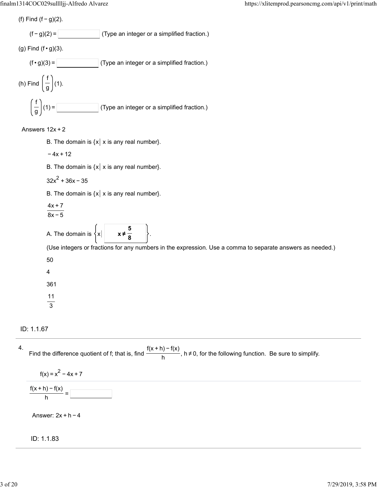(f) Find  $(f - g)(2)$ .

$$
(f-g)(2) = \boxed{\qquad \qquad}
$$
 (Type an integer or a simplified fraction.)

(g) Find 
$$
(f \cdot g)(3)
$$
.

$$
(f \cdot g)(3) = \boxed{\qquad \qquad} \qquad \text{(Type an integer or a simplified fraction.)}
$$
\n
$$
(h) Find \left(\frac{f}{g}\right)(1).
$$
\n
$$
\left(\frac{f}{g}\right)(1) = \boxed{\qquad \qquad} \qquad \text{(Type an integer or a simplified fraction.)}
$$

# Answers 12x + 2

- B. The domain is  $\{x \mid x \text{ is any real number} \}$ .
- $-4x + 12$
- B. The domain is  $\{x \mid x \text{ is any real number} \}$ .
- $32x^2 + 36x 35$
- B. The domain is  $\{x \mid x \text{ is any real number} \}$ .

$$
\frac{4x+7}{2}
$$

$$
8x-5
$$

A. The domain is  $\{x\}$ **5 8**

(Use integers or fractions for any numbers in the expression. Use a comma to separate answers as needed.)

- 50
- 4

361

- 11
- 3

ID: 1.1.67

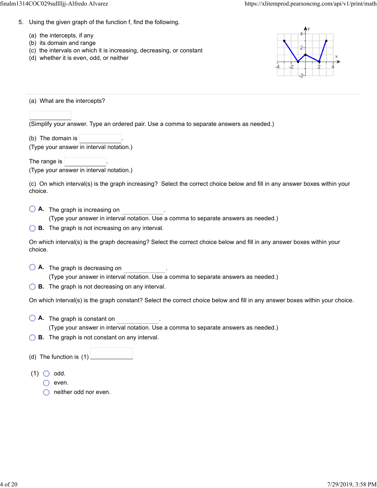- 5. Using the given graph of the function f, find the following.
	- (a) the intercepts, if any
	- (b) its domain and range
	- (c) the intervals on which it is increasing, decreasing, or constant
	- (d) whether it is even, odd, or neither



(a) What are the intercepts?

(Simplify your answer. Type an ordered pair. Use a comma to separate answers as needed.)

(b) The domain is

(Type your answer in interval notation.)

The range is (Type your answer in interval notation.)

(c) On which interval(s) is the graph increasing? Select the correct choice below and fill in any answer boxes within your choice.

**A.** The graph is increasing on .

(Type your answer in interval notation. Use a comma to separate answers as needed.)

**B.** The graph is not increasing on any interval.

On which interval(s) is the graph decreasing? Select the correct choice below and fill in any answer boxes within your choice.

- **A.** The graph is decreasing on . (Type your answer in interval notation. Use a comma to separate answers as needed.)
- **B.** The graph is not decreasing on any interval.

On which interval(s) is the graph constant? Select the correct choice below and fill in any answer boxes within your choice.

- **A.** The graph is constant on ... . . . . . (Type your answer in interval notation. Use a comma to separate answers as needed.)
- **B.** The graph is not constant on any interval.
- (d) The function is (1)

 $(1)$  O odd.

- $\bigcirc$  even.
- **O** neither odd nor even.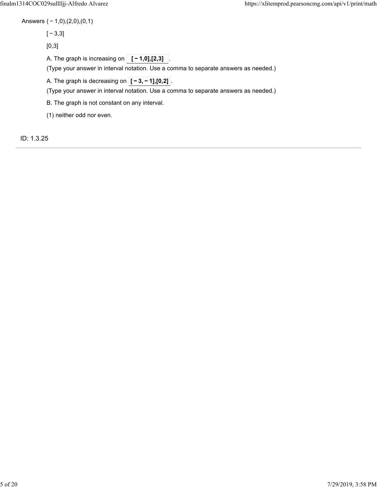Answers ( − 1,0),(2,0),(0,1)

[ − 3,3]

[0,3]

A. The graph is increasing on  $\boxed{[-1,0],[2,3]}$ 

(Type your answer in interval notation. Use a comma to separate answers as needed.)

A. The graph is decreasing on  $\boxed{[-3, -1]$ ,  $[0, 2]}$ .

(Type your answer in interval notation. Use a comma to separate answers as needed.)

B. The graph is not constant on any interval.

(1) neither odd nor even.

ID: 1.3.25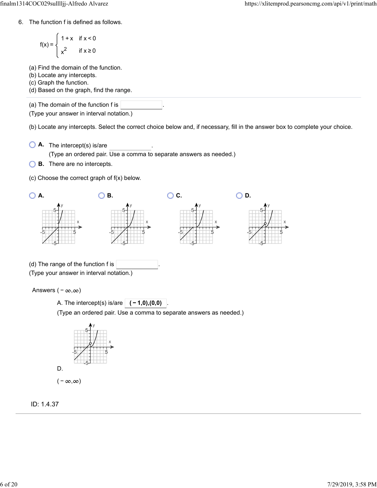6. The function f is defined as follows.

$$
f(x) = \begin{cases} 1 + x & \text{if } x < 0 \\ x^2 & \text{if } x \ge 0 \end{cases}
$$

(a) Find the domain of the function.

(b) Locate any intercepts.

(c) Graph the function.

(d) Based on the graph, find the range.

(a) The domain of the function f is

(Type your answer in interval notation.)

(b) Locate any intercepts. Select the correct choice below and, if necessary, fill in the answer box to complete your choice.

- **A.** The intercept(s) is/are . (Type an ordered pair. Use a comma to separate answers as needed.)
- **B.** There are no intercepts.
- (c) Choose the correct graph of f(x) below.



Answers  $(-\infty, \infty)$ 

A. The intercept(s) is/are  $|(-1,0),(0,0)$ 

(Type an ordered pair. Use a comma to separate answers as needed.)



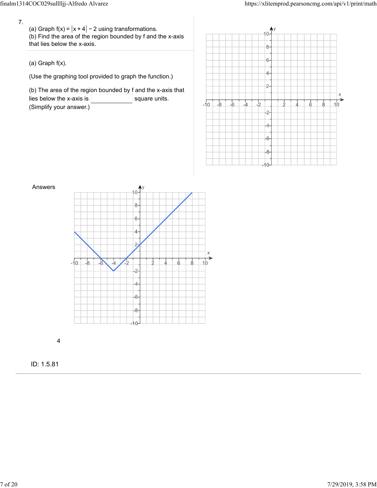7.

(a) Graph f(x) =  $|x+4|$  − 2 using transformations. (b) Find the area of the region bounded by f and the x-axis that lies below the x-axis.

(a) Graph f(x).

(Use the graphing tool provided to graph the function.)

(b) The area of the region bounded by f and the x-axis that lies below the x-axis is  $\vert$  square units. (Simplify your answer.)





4

ID: 1.5.81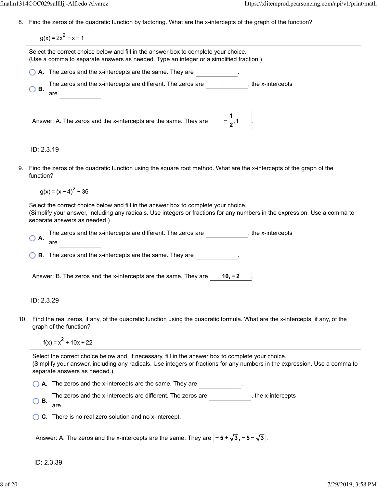8. Find the zeros of the quadratic function by factoring. What are the x-intercepts of the graph of the function?

 $q(x) = 2x^2 - x - 1$ 

ID: 2.3.19 Select the correct choice below and fill in the answer box to complete your choice. (Use a comma to separate answers as needed. Type an integer or a simplified fraction.) **A.** The zeros and the x-intercepts are the same. They are The zeros and the x-intercepts are different. The zeros are <sub>\_\_\_\_\_\_\_\_\_\_\_\_\_</sub>, the x-intercepts **B.** are Answer: A. The zeros and the x-intercepts are the same. They are | **1 2**

9. Find the zeros of the quadratic function using the square root method. What are the x-intercepts of the graph of the function?

 $q(x) = (x - 4)^2 - 36$ 

Select the correct choice below and fill in the answer box to complete your choice. (Simplify your answer, including any radicals. Use integers or fractions for any numbers in the expression. Use a comma to separate answers as needed.)

| $\bigcirc$ A. | The zeros and the x-intercepts are different. The zeros are                | the x-intercepts. [ |
|---------------|----------------------------------------------------------------------------|---------------------|
|               | are                                                                        |                     |
|               | $\bigcirc$ <b>B.</b> The zeros and the x-intercepts are the same. They are |                     |

Answer: B. The zeros and the x-intercepts are the same. They are . **10, −2** 

# ID: 2.3.29

10. Find the real zeros, if any, of the quadratic function using the quadratic formula. What are the x-intercepts, if any, of the graph of the function?

 $f(x) = x^2 + 10x + 22$ 

Select the correct choice below and, if necessary, fill in the answer box to complete your choice. (Simplify your answer, including any radicals. Use integers or fractions for any numbers in the expression. Use a comma to separate answers as needed.)

**A.** The zeros and the x-intercepts are the same. They are

- The zeros and the x-intercepts are different. The zeros are \_\_\_\_\_\_\_\_\_\_\_\_\_\_, the x-intercepts<br>**B.**
- are
- **C.** There is no real zero solution and no x-intercept.

Answer: A. The zeros and the x-intercepts are the same. They are  $\vert$  **− 5 +**  $\sqrt{3}$ , **− 5 −**  $\sqrt{3}$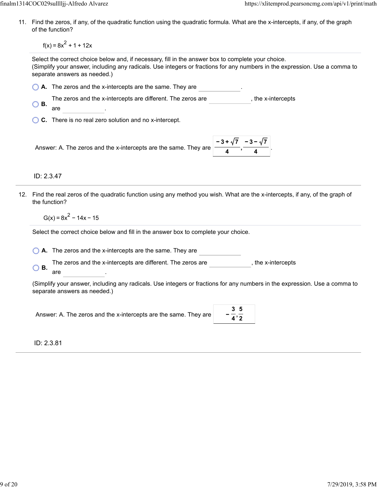11. Find the zeros, if any, of the quadratic function using the quadratic formula. What are the x-intercepts, if any, of the graph of the function?

 $f(x) = 8x^2 + 1 + 12x$ 

Select the correct choice below and, if necessary, fill in the answer box to complete your choice. (Simplify your answer, including any radicals. Use integers or fractions for any numbers in the expression. Use a comma to separate answers as needed.)

**A.** The zeros and the x-intercepts are the same. They are .

The zeros and the x-intercepts are different. The zeros are , the x-intercepts **B.** 

are

**C.** There is no real zero solution and no x-intercept.

Answer: A. The zeros and the x-intercepts are the same. They are **4 −3− 7 4**

ID: 2.3.47

12. Find the real zeros of the quadratic function using any method you wish. What are the x-intercepts, if any, of the graph of the function?

 $G(x) = 8x^{2} - 14x - 15$ 

Select the correct choice below and fill in the answer box to complete your choice.

**A.** The zeros and the x-intercepts are the same. They are

The zeros and the x-intercepts are different. The zeros are , the x-intercepts **B.** 

are

(Simplify your answer, including any radicals. Use integers or fractions for any numbers in the expression. Use a comma to separate answers as needed.)

Answer: A. The zeros and the x-intercepts are the same. They are

ID: 2.3.81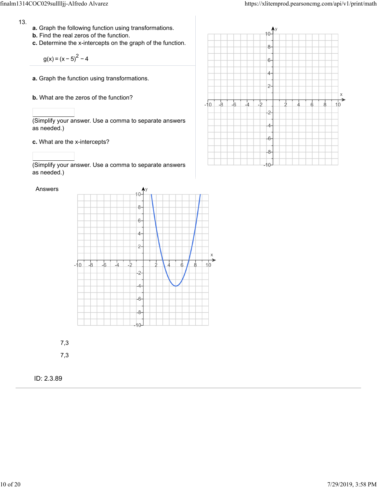- 13.
- **a.** Graph the following function using transformations.
- **b.** Find the real zeros of the function.
- **c.** Determine the x-intercepts on the graph of the function.

$$
g(x) = (x - 5)^2 - 4
$$

- **a.** Graph the function using transformations.
- **b.** What are the zeros of the function?

(Simplify your answer. Use a comma to separate answers as needed.)

**c.** What are the x-intercepts?

Answers

(Simplify your answer. Use a comma to separate answers as needed.)



7,3

ID: 2.3.89

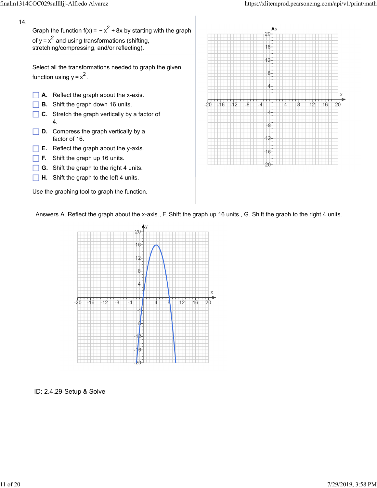### 14.

Graph the function f(x) =  $-x^2 + 8x$  by starting with the graph of y =  $x^2$  and using transformations (shifting, stretching/compressing, and/or reflecting).  $y = x^2$ 

Select all the transformations needed to graph the given function using  $y = x^2$ .



 $\Box$  **H.** Shift the graph to the left 4 units.

Use the graphing tool to graph the function.



Answers A. Reflect the graph about the x-axis., F. Shift the graph up 16 units., G. Shift the graph to the right 4 units.



#### ID: 2.4.29-Setup & Solve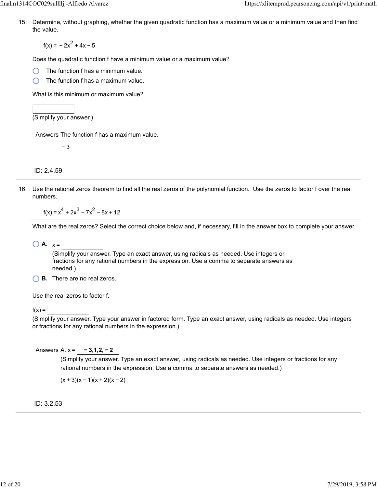15. Determine, without graphing, whether the given quadratic function has a maximum value or a minimum value and then find the value.

 $f(x) = -2x^2 + 4x - 5$ 

Does the quadratic function f have a minimum value or a maximum value?

The function f has a minimum value.

The function f has a maximum value. ∩

What is this minimum or maximum value?

(Simplify your answer.)

Answers The function f has a maximum value.

− 3

ID: 2.4.59

16. Use the rational zeros theorem to find all the real zeros of the polynomial function. Use the zeros to factor f over the real numbers.

 $f(x) = x<sup>4</sup> + 2x<sup>3</sup> - 7x<sup>2</sup> - 8x + 12$ 

What are the real zeros? Select the correct choice below and, if necessary, fill in the answer box to complete your answer.

 $\bigcirc$  **A.**  $x =$ 

(Simplify your answer. Type an exact answer, using radicals as needed. Use integers or fractions for any rational numbers in the expression. Use a comma to separate answers as needed.)

**B.** There are no real zeros.

Use the real zeros to factor f.

 $f(x) =$ 

(Simplify your answer. Type your answer in factored form. Type an exact answer, using radicals as needed. Use integers or fractions for any rational numbers in the expression.)

Answers A. x = **− 3,1,2, − 2**

(Simplify your answer. Type an exact answer, using radicals as needed. Use integers or fractions for any rational numbers in the expression. Use a comma to separate answers as needed.)

 $(x + 3)(x - 1)(x + 2)(x - 2)$ 

ID: 3.2.53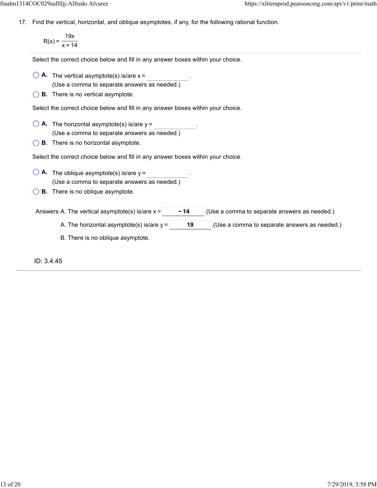17. Find the vertical, horizontal, and oblique asymptotes, if any, for the following rational function.

$$
R(x) = \frac{19x}{x + 14}
$$

Select the correct choice below and fill in any answer boxes within your choice.

- $\bigcirc$  **A.** The vertical asymptote(s) is/are  $x =$ (Use a comma to separate answers as needed.)
- **B.** There is no vertical asymptote.

Select the correct choice below and fill in any answer boxes within your choice.

- $\bigcirc$  **A.** The horizontal asymptote(s) is/are  $y =$ (Use a comma to separate answers as needed.)
- **B.** There is no horizontal asymptote.

Select the correct choice below and fill in any answer boxes within your choice.

- **A.** The oblique asymptote(s) is/are  $y =$  . (Use a comma to separate answers as needed.)
- **B.** There is no oblique asymptote.

Answers A. The vertical asymptote(s) is/are  $x = \begin{bmatrix} -14 \\ -14 \end{bmatrix}$  (Use a comma to separate answers as needed.)

- A. The horizontal asymptote(s) is/are  $y = \begin{vmatrix} 19 & 1 \end{vmatrix}$ . (Use a comma to separate answers as needed.)
- B. There is no oblique asymptote.

ID: 3.4.45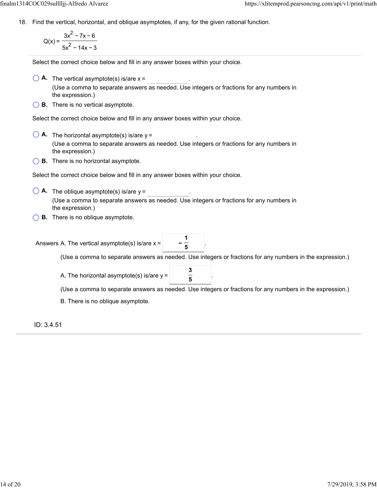18. Find the vertical, horizontal, and oblique asymptotes, if any, for the given rational function.

$$
Q(x) = \frac{3x^2 - 7x - 6}{5x^2 - 14x - 3}
$$

Select the correct choice below and fill in any answer boxes within your choice.

 $\bigcirc$  **A.** The vertical asymptote(s) is/are  $x =$ 

(Use a comma to separate answers as needed. Use integers or fractions for any numbers in the expression.)

**B.** There is no vertical asymptote.

Select the correct choice below and fill in any answer boxes within your choice.

- $\bigcirc$  **A.** The horizontal asymptote(s) is/are  $y =$ (Use a comma to separate answers as needed. Use integers or fractions for any numbers in the expression.)
- **B.** There is no horizontal asymptote.

Select the correct choice below and fill in any answer boxes within your choice.

- **A.** The oblique asymptote(s) is/are  $y =$  . (Use a comma to separate answers as needed. Use integers or fractions for any numbers in the expression.)
- **B.** There is no oblique asymptote.

Answers A. The vertical asymptote(s) is/are  $x = \frac{1}{7}$ 

(Use a comma to separate answers as needed. Use integers or fractions for any numbers in the expression.)

A. The horizontal asymptote(s) is/are  $y = \begin{bmatrix} 3 & 3 \\ 4 & 7 \end{bmatrix}$ 

**5**

**5**

(Use a comma to separate answers as needed. Use integers or fractions for any numbers in the expression.)

B. There is no oblique asymptote.

ID: 3.4.51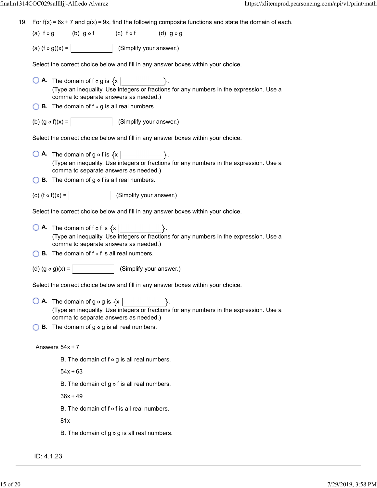19. For  $f(x) = 6x + 7$  and  $g(x) = 9x$ , find the following composite functions and state the domain of each.

```
(a) f \circ g (b) g \circ f (c) f \circ f (d) g \circ g
```

```
(a) (f \circ g)(x) = (Simplify your answer.)
```
Select the correct choice below and fill in any answer boxes within your choice.

- $\bigcirc$  **A.** The domain of f  $\circ$  g is  $\{x \}$ (Type an inequality. Use integers or fractions for any numbers in the expression. Use a comma to separate answers as needed.)
- $\bigcirc$  **B**. The domain of f  $\circ$  g is all real numbers.
- (b)  $(g \circ f)(x) =$  (Simplify your answer.)

Select the correct choice below and fill in any answer boxes within your choice.

- $\bigcirc$  **A.** The domain of g  $\circ$  f is  $\{x \}$ . (Type an inequality. Use integers or fractions for any numbers in the expression. Use a comma to separate answers as needed.)
- $\bigcirc$  **B.** The domain of g  $\circ$  f is all real numbers.
- (c)  $(f \circ f)(x) =$  (Simplify your answer.)

Select the correct choice below and fill in any answer boxes within your choice.

- $\overline{A}$ . The domain of f o f is  $\{x \}$ (Type an inequality. Use integers or fractions for any numbers in the expression. Use a comma to separate answers as needed.)
- $\bigcirc$  **B**. The domain of f  $\circ$  f is all real numbers.
- (d)  $(g \circ g)(x) =$  (Simplify your answer.)

Select the correct choice below and fill in any answer boxes within your choice.

 $\bigcirc$  **A.** The domain of g  $\circ$  g is  $\{x \mid$ (Type an inequality. Use integers or fractions for any numbers in the expression. Use a comma to separate answers as needed.)

 $\bigcirc$  **B.** The domain of g  $\circ$  g is all real numbers.

#### Answers  $54x + 7$

B. The domain of  $f \circ g$  is all real numbers.

 $54x + 63$ 

B. The domain of  $q \circ f$  is all real numbers.

 $36x + 49$ 

B. The domain of  $f \circ f$  is all real numbers.

81x

B. The domain of  $g \circ g$  is all real numbers.

ID: 4.1.23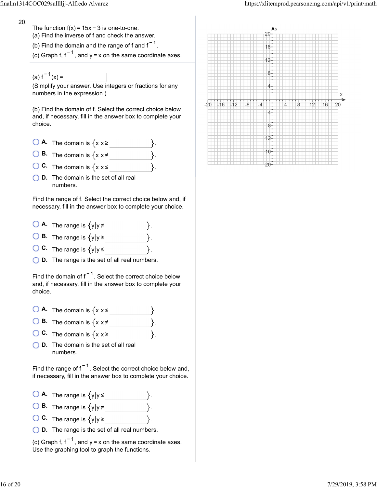20.

The function  $f(x) = 15x - 3$  is one-to-one.

(a) Find the inverse of f and check the answer.

(b) Find the domain and the range of f and f $^{-1}$ .

(c) Graph f, f  $^{-1}$ , and y = x on the same coordinate axes.

(a)  $f^{-1}(x) =$ 

numbers.

(Simplify your answer. Use integers or fractions for any numbers in the expression.)

(b) Find the domain of f. Select the correct choice below and, if necessary, fill in the answer box to complete your choice.

 $\bigcirc$  **A.** The domain is  $\{x | x \geq 0\}$ **B.** The domain is  $\{x | x \neq \emptyset\}$ **C.** The domain is  $\{x | x \leq$ **D.** The domain is the set of all real

Find the range of f. Select the correct choice below and, if necessary, fill in the answer box to complete your choice.

- $\bigcirc$  **A.** The range is  $\{y | y \neq y\}$
- **B.** The range is  $\{y | y \geq 0\}$
- **C.** The range is  $\{y | y \leq \}$
- **D.** The range is the set of all real numbers.

Find the domain of f $^{-1}$ . Select the correct choice below and, if necessary, fill in the answer box to complete your choice.

- $\bigcirc$  **A.** The domain is  $\{x | x \leq x\}$
- **B.** The domain is  $\{x | x \neq \emptyset\}$
- **C.** The domain is  $\{x | x \geq 0\}$
- **D.** The domain is the set of all real numbers.

Find the range of f $^{\texttt{-1}}$ . Select the correct choice below and, if necessary, fill in the answer box to complete your choice.

- $\bigcirc$  **A.** The range is  $\{y | y \le$
- **B.** The range is  $\{y | y \neq$
- **C.** The range is  $\{y | y \ge$
- **D.** The range is the set of all real numbers.

(c) Graph f, f<sup>-1</sup>, and y = x on the same coordinate axes. Use the graphing tool to graph the functions.

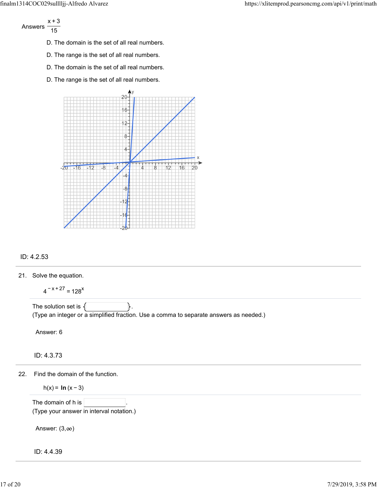Answers x+3 15

- D. The domain is the set of all real numbers.
- D. The range is the set of all real numbers.
- D. The domain is the set of all real numbers.
- D. The range is the set of all real numbers.



### ID: 4.2.53

21. Solve the equation.

```
4^{-x+27} = 128^{x}
```
The solution set is  $\{\vert$   $\vert$   $\vert$ . (Type an integer or a simplified fraction. Use a comma to separate answers as needed.)

Answer: 6

ID: 4.3.73

22. Find the domain of the function.

h(x) = **ln** (x − 3)

The domain of h is

(Type your answer in interval notation.)

Answer:  $(3, \infty)$ 

ID: 4.4.39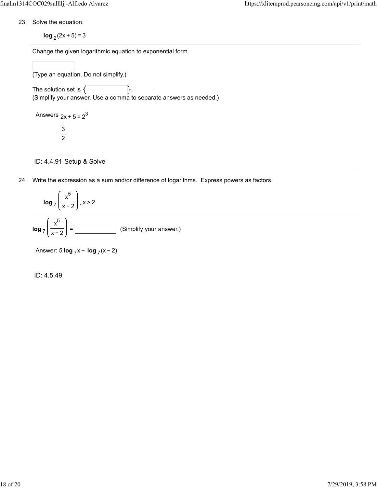23. Solve the equation.

**log**  $_2$  (2x + 5) = 3

Change the given logarithmic equation to exponential form.

(Type an equation. Do not simplify.) The solution set is  $\{$ (Simplify your answer. Use a comma to separate answers as needed.)

Answers  $2x + 5 = 2^3$ 3 2

ID: 4.4.91-Setup & Solve

24. Write the expression as a sum and/or difference of logarithms. Express powers as factors.



Answer: 5 **log** <sub>7</sub> x − **log** <sub>7</sub> (x − 2)

ID: 4.5.49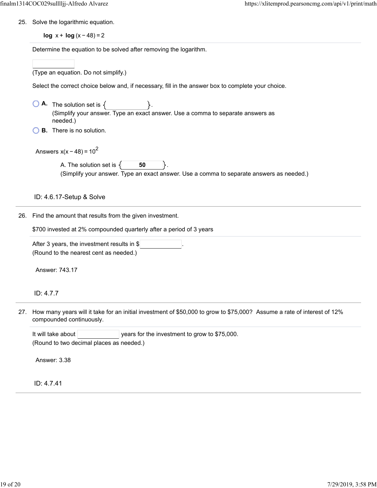25. Solve the logarithmic equation.

**log** x + **log** (x − 48) = 2

Determine the equation to be solved after removing the logarithment of the equation to be solved after removing

|     | Determine the equation to be solved after removing the logarithm.                                                                 |  |  |  |  |
|-----|-----------------------------------------------------------------------------------------------------------------------------------|--|--|--|--|
|     |                                                                                                                                   |  |  |  |  |
|     | (Type an equation. Do not simplify.)                                                                                              |  |  |  |  |
|     | Select the correct choice below and, if necessary, fill in the answer box to complete your choice.                                |  |  |  |  |
|     | <b>A.</b> The solution set is $\{$<br>(Simplify your answer. Type an exact answer. Use a comma to separate answers as<br>needed.) |  |  |  |  |
|     | <b>B.</b> There is no solution.                                                                                                   |  |  |  |  |
|     | Answers $x(x - 48) = 10^2$                                                                                                        |  |  |  |  |
|     | A. The solution set is $\{$<br>50<br>(Simplify your answer. Type an exact answer. Use a comma to separate answers as needed.)     |  |  |  |  |
|     | ID: 4.6.17-Setup & Solve                                                                                                          |  |  |  |  |
| 26. | Find the amount that results from the given investment.                                                                           |  |  |  |  |
|     | \$700 invested at 2% compounded quarterly after a period of 3 years                                                               |  |  |  |  |
|     | After 3 years, the investment results in \$<br>(Round to the nearest cent as needed.)                                             |  |  |  |  |
|     | Answer: 743.17                                                                                                                    |  |  |  |  |
|     | ID: 4.7.7                                                                                                                         |  |  |  |  |
|     | $\mu_{\rm OIII}$ mapu vears will it take for an initial investment of CEO 000 to arous to CZE 0002<br>coumo o roto of             |  |  |  |  |

27. How many years will it take for an initial investment of \$50,000 to grow to \$75,000? Assume a rate of interest of 12% compounded continuously.

It will take about  $|$  years for the investment to grow to \$75,000. (Round to two decimal places as needed.)

Answer: 3.38

ID: 4.7.41